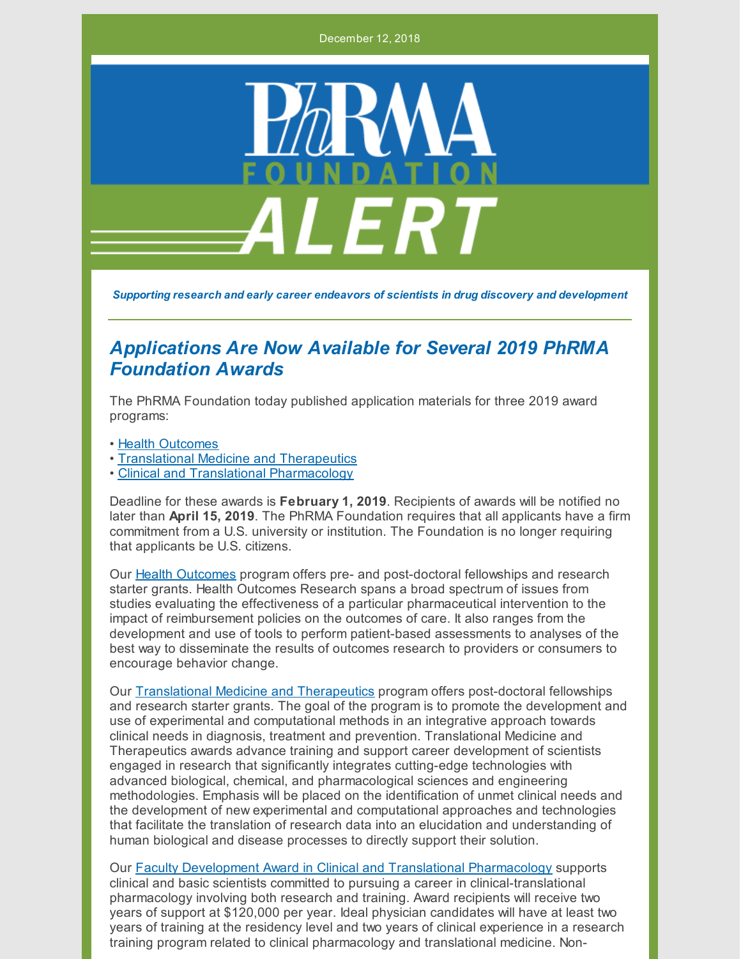December 12, 2018



*Supporting research and early career endeavors of scientists in drug discovery and development*

## *Applications Are Now Available for Several 2019 PhRMA Foundation Awards*

The PhRMA Foundation today published application materials for three 2019 award programs:

- Health [Outcomes](http://www.phrmafoundation.org/wp-content/uploads/2018/12/HealthOutcomes-2018-BroV5FINx5.pdf)
- [Translational](http://www.phrmafoundation.org/wp-content/uploads/2018/12/Translational-Med-Therap-2019-BroV4.pdf) Medicine and Therapeutics
- Clinical and Translational [Pharmacology](http://www.phrmafoundation.org/wp-content/uploads/2018/12/ClinicalTransPharm-2019.pdf)

Deadline for these awards is **February 1, 2019**. Recipients of awards will be notified no later than **April 15, 2019**. The PhRMA Foundation requires that all applicants have a firm commitment from a U.S. university or institution. The Foundation is no longer requiring that applicants be U.S. citizens.

Our Health [Outcomes](http://www.phrmafoundation.org/wp-content/uploads/2018/12/HealthOutcomes-2018-BroV5FINx5.pdf) program offers pre- and post-doctoral fellowships and research starter grants. Health Outcomes Research spans a broad spectrum of issues from studies evaluating the effectiveness of a particular pharmaceutical intervention to the impact of reimbursement policies on the outcomes of care. It also ranges from the development and use of tools to perform patient-based assessments to analyses of the best way to disseminate the results of outcomes research to providers or consumers to encourage behavior change.

Our [Translational](http://www.phrmafoundation.org/wp-content/uploads/2018/12/Translational-Med-Therap-2019-BroV4.pdf) Medicine and Therapeutics program offers post-doctoral fellowships and research starter grants. The goal of the program is to promote the development and use of experimental and computational methods in an integrative approach towards clinical needs in diagnosis, treatment and prevention. Translational Medicine and Therapeutics awards advance training and support career development of scientists engaged in research that significantly integrates cutting-edge technologies with advanced biological, chemical, and pharmacological sciences and engineering methodologies. Emphasis will be placed on the identification of unmet clinical needs and the development of new experimental and computational approaches and technologies that facilitate the translation of research data into an elucidation and understanding of human biological and disease processes to directly support their solution.

Our Faculty Development Award in Clinical and Translational [Pharmacology](http://www.phrmafoundation.org/wp-content/uploads/2018/12/ClinicalTransPharm-2019.pdf) supports clinical and basic scientists committed to pursuing a career in clinical-translational pharmacology involving both research and training. Award recipients will receive two years of support at \$120,000 per year. Ideal physician candidates will have at least two years of training at the residency level and two years of clinical experience in a research training program related to clinical pharmacology and translational medicine. Non-